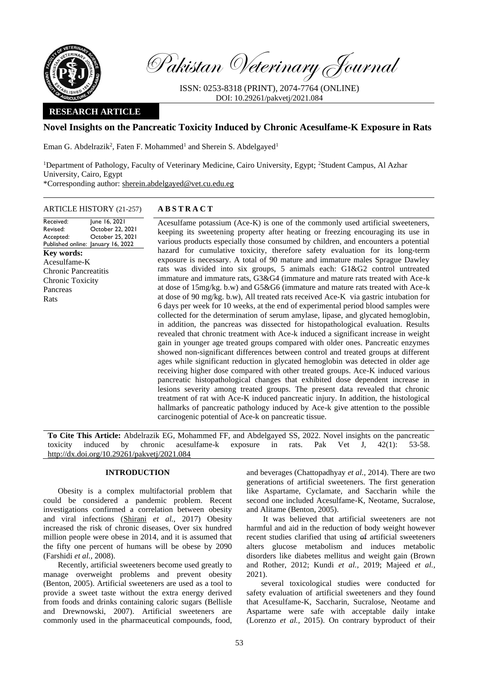

Pakistan Veterinary Journal

ISSN: 0253-8318 (PRINT), 2074-7764 (ONLINE) DOI: 10.29261/pakvetj/2021.084

## **RESEARCH ARTICLE**

# **Novel Insights on the Pancreatic Toxicity Induced by Chronic Acesulfame-K Exposure in Rats**

Eman G. Abdelrazik<sup>2</sup>, Faten F. Mohammed<sup>1</sup> and Sherein S. Abdelgayed<sup>1</sup>

<sup>1</sup>Department of Pathology, Faculty of Veterinary Medicine, Cairo University, Egypt; <sup>2</sup>Student Campus, Al Azhar University, Cairo, Egypt \*Corresponding author: [sherein.abdelgayed@vet.cu.edu.eg](mailto:sherein.abdelgayed@vet.cu.edu.eg)

ARTICLE HISTORY (21-257) **A B S T R A C T**

Received: Revised: Accepted: Published online: January 16, 2022 June 16, 2021 October 22, 2021 October 25, 2021 **Key words:**  Acesulfame-K Chronic Pancreatitis Chronic Toxicity Pancreas Rats

Acesulfame potassium (Ace-K) is one of the commonly used artificial sweeteners, keeping its sweetening property after heating or freezing encouraging its use in various products especially those consumed by children, and encounters a potential hazard for cumulative toxicity, therefore safety evaluation for its long-term exposure is necessary. A total of 90 mature and immature males Sprague Dawley rats was divided into six groups, 5 animals each: G1&G2 control untreated immature and immature rats, G3&G4 (immature and mature rats treated with Ace-k at dose of 15mg/kg. b.w) and G5&G6 (immature and mature rats treated with Ace-k at dose of 90 mg/kg. b.w), All treated rats received Ace-K via gastric intubation for 6 days per week for 10 weeks, at the end of experimental period blood samples were collected for the determination of serum amylase, lipase, and glycated hemoglobin, in addition, the pancreas was dissected for histopathological evaluation. Results revealed that chronic treatment with Ace-k induced a significant increase in weight gain in younger age treated groups compared with older ones. Pancreatic enzymes showed non-significant differences between control and treated groups at different ages while significant reduction in glycated hemoglobin was detected in older age receiving higher dose compared with other treated groups. Ace-K induced various pancreatic histopathological changes that exhibited dose dependent increase in lesions severity among treated groups. The present data revealed that chronic treatment of rat with Ace-K induced pancreatic injury. In addition, the histological hallmarks of pancreatic pathology induced by Ace-k give attention to the possible carcinogenic potential of Ace-k on pancreatic tissue.

**To Cite This Article:** Abdelrazik EG, Mohammed FF, and Abdelgayed SS, 2022. Novel insights on the pancreatic toxicity induced by chronic acesulfame-k exposure in rats. Pak Vet J, 42(1): 53-58. [http://dx.doi.org/10.29261/pakvetj/2021.084](http://pvj.com.pk/pdf-files/42_1/53-58.pdf) 

### **INTRODUCTION**

Obesity is a complex multifactorial problem that could be considered a pandemic problem. Recent investigations confirmed a correlation between obesity and viral infections [\(Shirani](https://www.ncbi.nlm.nih.gov/pubmed/?term=Shirani%20F%5BAuthor%5D&cauthor=true&cauthor_uid=29147126) *et al.,* 2017) Obesity increased the risk of chronic diseases, Over six hundred million people were obese in 2014, and it is assumed that the fifty one percent of humans will be obese by 2090 (Farshidi *et al.,* 2008).

Recently, artificial sweeteners become used greatly to manage overweight problems and prevent obesity (Benton, 2005). Artificial sweeteners are used as a tool to provide a sweet taste without the extra energy derived from foods and drinks containing caloric sugars (Bellisle and Drewnowski, 2007). Artificial sweeteners are commonly used in the pharmaceutical compounds, food, and beverages (Chattopadhyay *et al.,* 2014). There are two generations of artificial sweeteners. The first generation like Aspartame, Cyclamate, and Saccharin while the second one included Acesulfame-K, Neotame, Sucralose, and Alitame (Benton, 2005).

It was believed that artificial sweeteners are not harmful and aid in the reduction of body weight however recent studies clarified that using  $\theta$  artificial sweeteners alters glucose metabolism and induces metabolic disorders like diabetes mellitus and weight gain (Brown and Rother, 2012; Kundi *et al.,* 2019; Majeed *et al.,* 2021).

several toxicological studies were conducted for safety evaluation of artificial sweeteners and they found that Acesulfame-K, Saccharin, Sucralose, Neotame and Aspartame were safe with acceptable daily intake (Lorenzo *et al.,* 2015). On contrary byproduct of their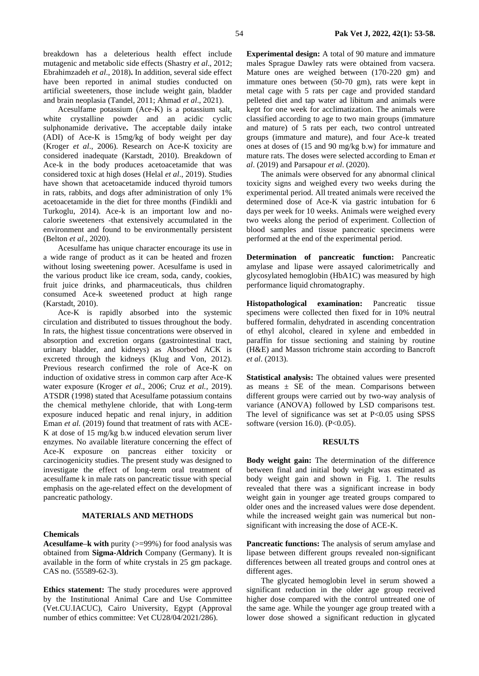breakdown has a deleterious health effect include mutagenic and metabolic side effects (Shastry *et al*., 2012; Ebrahimzadeh *et al*., 2018)**.** In addition, several side effect have been reported in animal studies conducted on artificial sweeteners, those include weight gain, bladder and brain neoplasia (Tandel, 2011; Ahmad *et al*., 2021).

Acesulfame potassium (Ace-K) is a potassium salt, white crystalline powder and an acidic cyclic sulphonamide derivative**.** The acceptable daily intake (ADI) of Ace-K is 15mg/kg of body weight per day (Kroger *et al*., 2006). Research on Ace-K toxicity are considered inadequate (Karstadt, 2010). Breakdown of Ace-k in the body produces acetoacetamide that was considered toxic at high doses (Helal *et al*., 2019). Studies have shown that acetoacetamide induced thyroid tumors in rats, rabbits, and dogs after administration of only 1% acetoacetamide in the diet for three months (Findikli and Turkoglu, 2014). Ace-k is an important low and nocalorie sweeteners ‐that extensively accumulated in the environment and found to be environmentally persistent (Belton *et al*., 2020).

Acesulfame has unique character encourage its use in a wide range of product as it can be heated and frozen without losing sweetening power. Acesulfame is used in the various product like ice cream, soda, candy, cookies, fruit juice drinks, and pharmaceuticals, thus children consumed Ace-k sweetened product at high range (Karstadt, 2010).

Ace-K is rapidly absorbed into the systemic circulation and distributed to tissues throughout the body. In rats, the highest tissue concentrations were observed in absorption and excretion organs (gastrointestinal tract, urinary bladder, and kidneys) as Absorbed ACK is excreted through the kidneys (Klug and Von, 2012). Previous research confirmed the role of Ace-K on induction of oxidative stress in common carp after Ace-K water exposure (Kroger *et al*., 2006; Cruz *et al.,* 2019). ATSDR (1998) stated that Acesulfame potassium contains the chemical methylene chloride, that with Long-term exposure induced hepatic and renal injury, in addition Eman *et al.* (2019) found that treatment of rats with ACE-K at dose of 15 mg/kg b.w induced elevation serum liver enzymes. No available literature concerning the effect of Ace-K exposure on pancreas either toxicity or carcinogenicity studies. The present study was designed to investigate the effect of long-term oral treatment of acesulfame k in male rats on pancreatic tissue with special emphasis on the age-related effect on the development of pancreatic pathology.

### **MATERIALS AND METHODS**

#### **Chemicals**

**Acesulfame–k with** purity (>=99%) for food analysis was obtained from **Sigma-Aldrich** Company (Germany). It is available in the form of white crystals in 25 gm package. CAS no. (55589-62-3).

**Ethics statement:** The study procedures were approved by the Institutional Animal Care and Use Committee (Vet.CU.IACUC), Cairo University, Egypt (Approval number of ethics committee: Vet CU28/04/2021/286).

**Experimental design:** A total of 90 mature and immature males Sprague Dawley rats were obtained from vacsera. Mature ones are weighed between (170-220 gm) and immature ones between (50-70 gm), rats were kept in metal cage with 5 rats per cage and provided standard pelleted diet and tap water ad libitum and animals were kept for one week for acclimatization. The animals were classified according to age to two main groups (immature and mature) of 5 rats per each, two control untreated groups (immature and mature), and four Ace-k treated ones at doses of (15 and 90 mg/kg b.w) for immature and mature rats. The doses were selected according to Eman *et al*. (2019) an[d Parsapour](http://jmums.mazums.ac.ir/search.php?sid=1&slc_lang=en&auth=Parsapour) *et al*. (2020).

The animals were observed for any abnormal clinical toxicity signs and weighed every two weeks during the experimental period. All treated animals were received the determined dose of Ace-K via gastric intubation for 6 days per week for 10 weeks. Animals were weighed every two weeks along the period of experiment. Collection of blood samples and tissue pancreatic specimens were performed at the end of the experimental period.

**Determination of pancreatic function:** Pancreatic amylase and lipase were assayed calorimetrically and glycosylated hemoglobin (HbA1C) was measured by high performance liquid chromatography.

**Histopathological examination:** Pancreatic tissue specimens were collected then fixed for in 10% neutral buffered formalin, dehydrated in ascending concentration of ethyl alcohol, cleared in xylene and embedded in paraffin for tissue sectioning and staining by routine (H&E) and Masson trichrome stain according to Bancroft *et al*. (2013).

**Statistical analysis:** The obtained values were presented as means  $\pm$  SE of the mean. Comparisons between different groups were carried out by two-way analysis of variance (ANOVA) followed by LSD comparisons test. The level of significance was set at P<0.05 using SPSS software (version 16.0). (P<0.05).

#### **RESULTS**

**Body weight gain:** The determination of the difference between final and initial body weight was estimated as body weight gain and shown in Fig. 1. The results revealed that there was a significant increase in body weight gain in younger age treated groups compared to older ones and the increased values were dose dependent. while the increased weight gain was numerical but nonsignificant with increasing the dose of ACE-K.

**Pancreatic functions:** The analysis of serum amylase and lipase between different groups revealed non-significant differences between all treated groups and control ones at different ages.

The glycated hemoglobin level in serum showed a significant reduction in the older age group received higher dose compared with the control untreated one of the same age. While the younger age group treated with a lower dose showed a significant reduction in glycated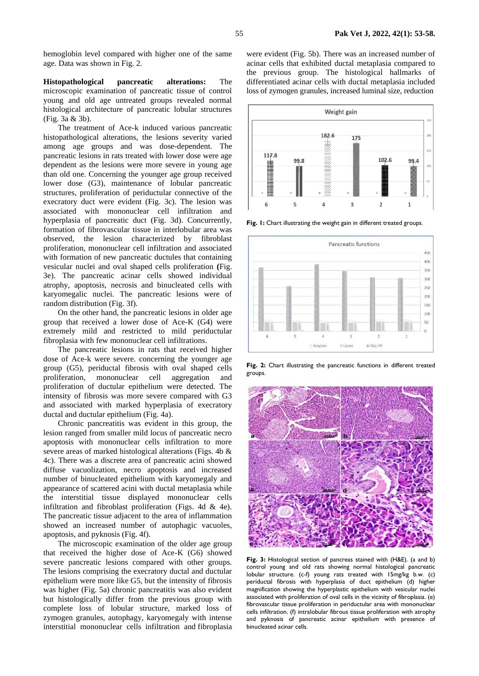hemoglobin level compared with higher one of the same age. Data was shown in Fig. 2.

**Histopathological pancreatic alterations:** The microscopic examination of pancreatic tissue of control young and old age untreated groups revealed normal histological architecture of pancreatic lobular structures (Fig. 3a & 3b).

The treatment of Ace-k induced various pancreatic histopathological alterations, the lesions severity varied among age groups and was dose-dependent. The pancreatic lesions in rats treated with lower dose were age dependent as the lesions were more severe in young age than old one. Concerning the younger age group received lower dose (G3), maintenance of lobular pancreatic structures, proliferation of periductular connective of the execratory duct were evident (Fig. 3c). The lesion was associated with mononuclear cell infiltration and hyperplasia of pancreatic duct (Fig. 3d). Concurrently, formation of fibrovascular tissue in interlobular area was observed, the lesion characterized by fibroblast proliferation, mononuclear cell infiltration and associated with formation of new pancreatic ductules that containing vesicular nuclei and oval shaped cells proliferation **(**Fig. 3e). The pancreatic acinar cells showed individual atrophy, apoptosis, necrosis and binucleated cells with karyomegalic nuclei. The pancreatic lesions were of random distribution (Fig. 3f).

On the other hand, the pancreatic lesions in older age group that received a lower dose of Ace-K (G4) were extremely mild and restricted to mild periductular fibroplasia with few mononuclear cell infiltrations.

The pancreatic lesions in rats that received higher dose of Ace-k were severe. concerning the younger age group (G5), periductal fibrosis with oval shaped cells proliferation, mononuclear cell aggregation and proliferation of ductular epithelium were detected. The intensity of fibrosis was more severe compared with G3 and associated with marked hyperplasia of execratory ductal and ductular epithelium (Fig. 4a).

Chronic pancreatitis was evident in this group, the lesion ranged from smaller mild locus of pancreatic necro apoptosis with mononuclear cells infiltration to more severe areas of marked histological alterations (Figs. 4b & 4c). There was a discrete area of pancreatic acini showed diffuse vacuolization, necro apoptosis and increased number of binucleated epithelium with karyomegaly and appearance of scattered acini with ductal metaplasia while the interstitial tissue displayed mononuclear cells infiltration and fibroblast proliferation (Figs. 4d & 4e). The pancreatic tissue adjacent to the area of inflammation showed an increased number of autophagic vacuoles, apoptosis, and pyknosis (Fig. 4f).

The microscopic examination of the older age group that received the higher dose of Ace-K (G6) showed severe pancreatic lesions compared with other groups. The lesions comprising the execratory ductal and ductular epithelium were more like G5, but the intensity of fibrosis was higher (Fig. 5a) chronic pancreatitis was also evident but histologically differ from the previous group with complete loss of lobular structure, marked loss of zymogen granules, autophagy, karyomegaly with intense interstitial mononuclear cells infiltration and fibroplasia

were evident (Fig. 5b). There was an increased number of acinar cells that exhibited ductal metaplasia compared to the previous group. The histological hallmarks of differentiated acinar cells with ductal metaplasia included loss of zymogen granules, increased luminal size, reduction



**Fig. 1:** Chart illustrating the weight gain in different treated groups.



**Fig. 2:** Chart illustrating the pancreatic functions in different treated groups.



**Fig. 3:** Histological section of pancreas stained with (H&E). (a and b) control young and old rats showing normal histological pancreatic lobular structure. (c-f) young rats treated with 15mg/kg b.w. (c) periductal fibrosis with hyperplasia of duct epithelium (d) higher magnification showing the hyperplastic epithelium with vesicular nuclei associated with proliferation of oval cells in the vicinity of fibroplasia. (e) fibrovascular tissue proliferation in periductular area with mononuclear cells infiltration. (f) intralobular fibrous tissue proliferation with atrophy and pyknosis of pancreatic acinar epithelium with presence of binucleated acinar cells.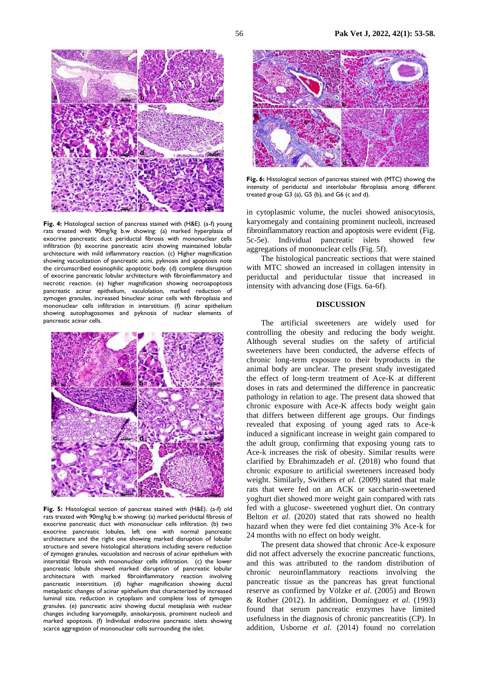

**Fig. 4:** Histological section of pancreas stained with (H&E). (a-f) young rats treated with 90mg/kg b.w showing: (a) marked hyperplasia of exocrine pancreatic duct periductal fibrosis with mononuclear cells infiltration (b) exocrine pancreatic acini showing maintained lobular architecture with mild inflammatory reaction. (c) Higher magnification showing vacuolization of pancreatic acini, pyknosis and apoptosis note the circumscribed eosinophilic apoptotic body. (d) complete disruption of exocrine pancreatic lobular architecture with fibroinflammatory and necrotic reaction. (e) higher magnification showing necroapoptosis pancreatic acinar epithelium, vaculolation, marked reduction of zymogen granules, increased binuclear acinar cells with fibroplasia and mononuclear cells infiltration in interstitium. (f) acinar epithelium showing autophagosomes and pyknosis of nuclear elements of pancreatic acinar cells.



**Fig. 5:** Histological section of pancreas stained with (H&E). (a-f) old rats treated with 90mg/kg b.w showing: (a) marked periductal fibrosis of exocrine pancreatic duct with mononuclear cells infiltration. (b) two exocrine pancreatic lobules, left one with normal pancreatic architecture and the right one showing marked disruption of lobular structure and severe histological alterations including severe reduction of zymogen granules, vacuolation and necrosis of acinar epithelium with interstitial fibrosis with mononuclear cells infiltration. (c) the lower pancreatic lobule showed marked disruption of pancreatic lobular architecture with marked fibroinflammatory reaction involving pancreatic interstitium. (d) higher magnification showing ductal metaplastic changes of acinar epithelium that characterized by increased luminal size, reduction in cytoplasm and complete loss of zymogen granules. (e) pancreatic acini showing ductal metaplasia with nuclear changes including karyomegally, anisokaryosis, prominent nucleoli and marked apoptosis. (f) Individual endocrine pancreatic islets showing scarce aggregation of mononuclear cells surrounding the islet.



**Fig. 6:** Histological section of pancreas stained with (MTC) showing the intensity of periductal and interlobular fibroplasia among different treated group G3 (a), G5 (b), and G6 (c and d).

in cytoplasmic volume, the nuclei showed anisocytosis, karyomegaly and containing prominent nucleoli, increased fibroinflammatory reaction and apoptosis were evident (Fig. 5c-5e). Individual pancreatic islets showed few aggregations of mononuclear cells (Fig. 5f).

The histological pancreatic sections that were stained with MTC showed an increased in collagen intensity in periductal and periductular tissue that increased in intensity with advancing dose (Figs. 6a-6f).

## **DISCUSSION**

The artificial sweeteners are widely used for controlling the obesity and reducing the body weight. Although several studies on the safety of artificial sweeteners have been conducted, the adverse effects of chronic long-term exposure to their byproducts in the animal body are unclear. The present study investigated the effect of long-term treatment of Ace-K at different doses in rats and determined the difference in pancreatic pathology in relation to age. The present data showed that chronic exposure with Ace-K affects body weight gain that differs between different age groups. Our findings revealed that exposing of young aged rats to Ace-k induced a significant increase in weight gain compared to the adult group, confirming that exposing young rats to Ace-k increases the risk of obesity. Similar results were clarified by Ebrahimzadeh *et al*. (2018) who found that chronic exposure to artificial sweeteners increased body weight. Similarly, Swithers *et al*. (2009) stated that male rats that were fed on an ACK or saccharin-sweetened yoghurt diet showed more weight gain compared with rats fed with a glucose- sweetened yoghurt diet. On contrary Belton *et al*. (2020) stated that rats showed no health hazard when they were fed diet containing 3% Ace-k for 24 months with no effect on body weight.

The present data showed that chronic Ace-k exposure did not affect adversely the exocrine pancreatic functions, and this was attributed to the random distribution of chronic neuroinflammatory reactions involving the pancreatic tissue as the pancreas has great functional reserve as confirmed by Völzke *et al*. (2005) and Brown & Rother (2012). In addition, Domínguez *et al*. (1993) found that serum pancreatic enzymes have limited usefulness in the diagnosis of chronic pancreatitis (CP). In addition, Usborne *et al*. (2014) found no correlation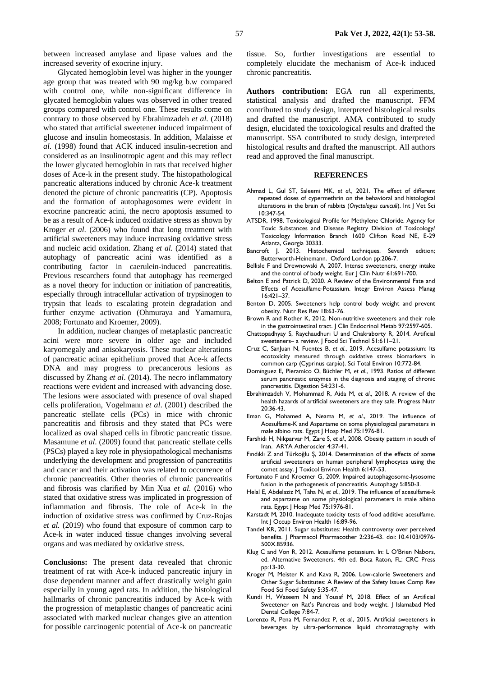between increased amylase and lipase values and the increased severity of exocrine injury.

Glycated hemoglobin level was higher in the younger age group that was treated with 90 mg/kg b.w compared with control one, while non-significant difference in glycated hemoglobin values was observed in other treated groups compared with control one. These results come on contrary to those observed by Ebrahimzadeh *et al.* (2018) who stated that artificial sweetener induced impairment of glucose and insulin homeostasis. In addition, Malaisse *et al.* (1998) found that ACK induced insulin-secretion and considered as an insulinotropic agent and this may reflect the lower glycated hemoglobin in rats that received higher doses of Ace-k in the present study. The histopathological pancreatic alterations induced by chronic Ace-k treatment denoted the picture of chronic pancreatitis (CP). Apoptosis and the formation of autophagosomes were evident in exocrine pancreatic acini, the necro apoptosis assumed to be as a result of Ace-k induced oxidative stress as shown by Kroger *et al*. (2006) who found that long treatment with artificial sweeteners may induce increasing oxidative stress and nucleic acid oxidation. Zhang *et al.* (2014) stated that autophagy of pancreatic acini was identified as a contributing factor in caerulein-induced pancreatitis. Previous researchers found that autophagy has reemerged as a novel theory for induction or initiation of pancreatitis, especially through intracellular activation of trypsinogen to trypsin that leads to escalating protein degradation and further enzyme activation (Ohmuraya and Yamamura, 2008; Fortunato and Kroemer, 2009).

In addition, nuclear changes of metaplastic pancreatic acini were more severe in older age and included karyomegaly and anisokaryosis. These nuclear alterations of pancreatic acinar epithelium proved that Ace-k affects DNA and may progress to precancerous lesions as discussed by Zhang *et al*. (2014). The necro inflammatory reactions were evident and increased with advancing dose. The lesions were associated with presence of oval shaped cells proliferation, [Vogelmann](https://journals.physiology.org/doi/full/10.1152/ajpgi.2001.280.1.g164) *et al*. (2001) described the pancreatic stellate cells (PCs) in mice with chronic pancreatitis and fibrosis and they stated that PCs were localized as oval shaped cells in fibrotic pancreatic tissue. Masamune *et al*. (2009) found that pancreatic stellate cells (PSCs) played a key role in physiopathological mechanisms underlying the development and progression of pancreatitis and cancer and their activation was related to occurrence of chronic pancreatitis. Other theories of chronic pancreatitis and fibrosis was clarified by Min Xua *et al*. (2016) who stated that oxidative stress was implicated in progression of inflammation and fibrosis. The role of Ace-k in the induction of oxidative stress was confirmed by Cruz-Rojas *et al.* (2019) who found that exposure of common carp to Ace-k in water induced tissue changes involving several organs and was mediated by oxidative stress.

**Conclusions:** The present data revealed that chronic treatment of rat with Ace-k induced pancreatic injury in dose dependent manner and affect drastically weight gain especially in young aged rats. In addition, the histological hallmarks of chronic pancreatitis induced by Ace-k with the progression of metaplastic changes of pancreatic acini associated with marked nuclear changes give an attention for possible carcinogenic potential of Ace-k on pancreatic

tissue. So, further investigations are essential to completely elucidate the mechanism of Ace-k induced chronic pancreatitis.

**Authors contribution:** EGA run all experiments, statistical analysis and drafted the manuscript. FFM contributed to study design, interpreted histological results and drafted the manuscript. AMA contributed to study design, elucidated the toxicological results and drafted the manuscript. SSA contributed to study design, interpreted histological results and drafted the manuscript. All authors read and approved the final manuscript.

#### **REFERENCES**

- Ahmad L, Gul ST, Saleemi MK, *et al*., 2021. The effect of different repeated doses of cypermethrin on the behavioral and histological alterations in the brain of rabbits (*Oryctolagus cuniculi*). Int J Vet Sci 10:347-54.
- ATSDR, 1998. Toxicological Profile for Methylene Chloride. Agency for Toxic Substances and Disease Registry Division of Toxicology/ Toxicology Information Branch 1600 Clifton Road NE, E-29 Atlanta, Georgia 30333.
- Bancroft J, 2013. Histochemical techniques. Seventh edition; Butterworth-Heinemann. Oxford London pp:206-7.
- Bellisle F and Drewnowski A, 2007. Intense sweeteners, energy intake and the control of body weight. Eur J Clin Nutr 61:691-700.
- Belton E and Patrick D, 2020. A Review of the Environmental Fate and Effects of Acesulfame‐Potassium. Integr Environ Assess Manag 16:421–37.
- Benton D, 2005. Sweeteners help control body weight and prevent obesity. Nutr Res Rev 18:63-76.
- Brown R and Rother K, 2012. Non-nutritive sweeteners and their role in the gastrointestinal tract. J Clin Endocrinol Metab 97:2597-605.
- Chattopadhyay S, Raychaudhuri U and Chakraborty R, 2014. Artificial sweeteners– a review. J Food Sci Technol 51:611–21.
- Cruz C, SanJuan N, Fuentes B, *et al*., 2019. Acesulfame potassium: Its ecotoxicity measured through oxidative stress biomarkers in common carp (Cyprinus carpio). Sci Total Environ 10:772-84.
- [Domínguez](https://pubmed.ncbi.nlm.nih.gov/?term=Dom%C3%ADnguez-Mu%C3%B1oz+JE&cauthor_id=7694884) E, [Pieramico](https://pubmed.ncbi.nlm.nih.gov/?term=Pieramico+O&cauthor_id=7694884) O, [Büchler](https://pubmed.ncbi.nlm.nih.gov/?term=B%C3%BCchler+M&cauthor_id=7694884) M, *et al*., 1993. Ratios of different serum pancreatic enzymes in the diagnosis and staging of chronic pancreatitis. Digestion 54:231-6.
- Ebrahimzadeh V, Mohammad R, Aida M, *et al*., 2018. A review of the health hazards of artificial sweeteners are they safe. Progress Nutr 20:36-43.
- Eman G, Mohamed A, Neama M, *et al*., 2019. The influence of Acesulfame-K and Aspartame on some physiological parameters in male albino rats. Egypt J Hosp Med 75:1976-81.
- Farshidi H, Nikparvar M, Zare S, *et al.*, 2008. Obesity pattern in south of Iran. ARYA Atheroscler 4:37-41.
- Fındıklı Z and Türkoğlu Ş, 2014. Determination of the effects of some artificial sweeteners on human peripheral lymphocytes using the comet assay. J Toxicol Environ Health 6:147-53.
- Fortunato F and Kroemer G, 2009. Impaired autophagosome-lysosome fusion in the pathogenesis of pancreatitis. Autophagy 5:850-3.
- Helal E, Abdelaziz M, Taha N, *et al*., 2019. The influence of acesulfame-k and aspartame on some physiological parameters in male albino rats. Egypt J Hosp Med 75:1976-81.
- Karstadt M, 2010. Inadequate toxicity tests of food additive acesulfame. Int J Occup Environ Health 16:89-96.
- Tandel [KR,](https://www.ncbi.nlm.nih.gov/pubmed/?term=Tandel%20KR%5BAuthor%5D&cauthor=true&cauthor_uid=22025850) 2011. Sugar substitutes: Health controversy over perceived benefits. J Pharmacol Pharmacother 2:236-43. doi: [10.4103/0976-](https://dx.doi.org/10.4103%2F0976-500X.85936) [500X.85936.](https://dx.doi.org/10.4103%2F0976-500X.85936)
- Klug C and Von R, 2012. Acesulfame potassium. In: L O'Brien Nabors, ed. Alternative Sweeteners. 4th ed. Boca Raton, FL: CRC Press pp:13-30.
- Kroger M, Meister K and Kava R, 2006. Low-calorie Sweeteners and Other Sugar Substitutes: A Review of the Safety Issues Comp Rev Food Sci Food Safety 5:35-47.
- Kundi H, Waseem N and Yousaf M, 2018. Effect of an Artificial Sweetener on Rat's Pancreas and body weight. J Islamabad Med Dental College 7:84-7.
- Lorenzo R, Pena M, Fernandez P, *et al.*, 2015. Artificial sweeteners in beverages by ultra-performance liquid chromatography with